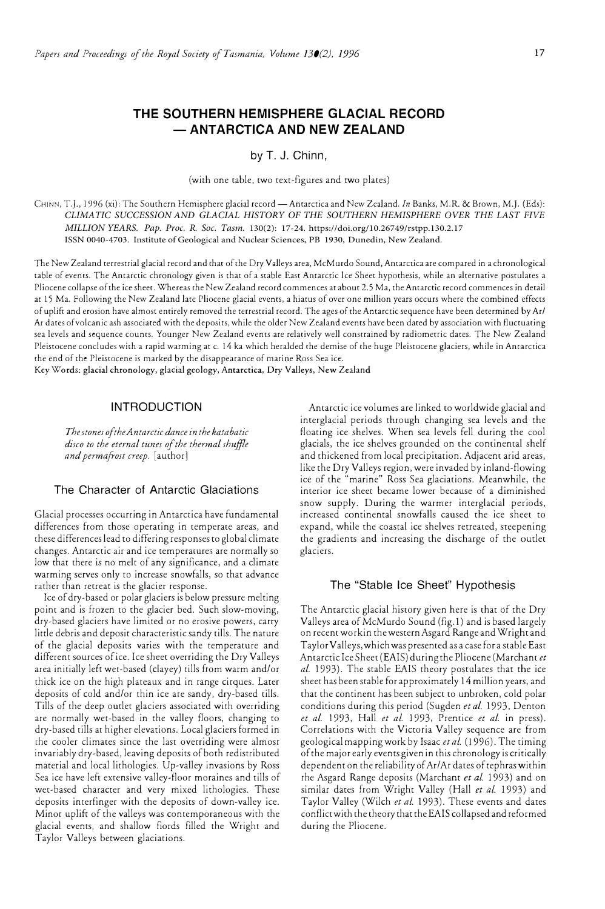# **THE SOUTHERN HEMISPHERE GLACIAL RECORD - ANTARCTICA AND NEW ZEALAND**

by T. J. Chinn,

(with one table, two text-figures and two plates)

CHINN, T.J., 1996 (xi): The Southern Hemisphere glacial record-Antarctica and New Zealand. *In* Banks, M.R. & Brown, M.J. (Eds): *CLIMATIC SUCCESSION AND GLACIAL HISTORY OF THE SOUTHERN HEMISPHERE OVER THE LAST FIVE MILLION YEARS. Pap. Proc. R. Soc. Tasm.* 130(2): 17-24. https://doi.org/10.26749/rstpp.130.2.17 ISSN 0040-4703. Institute of Geological and Nuclear Sciences, PB 1930, Dunedin, New Zealand.

The New Zealand terrestrial glacial record and that of the Dry Valleys area, McMurdo Sound, Antarctica are compared in a chronological table of events. The Antarctic chronology given is that of a stable East Antarctic Ice Sheet hypothesis, while an alternative postulates a Pliocene collapse of the ice sheet. Whereas the New Zealand record commences at about 2.5 Ma, the Antarctic record commences in detail at 15 Ma. Following the New Zealand late Pliocene glacial events, a hiatus of over one million years occurs where the combined effects of uplift and erosion have almost entirely removed the terrestrial record. The ages of the Antarctic sequence have been determined by Ar/ Ar dates of volcanic ash associated with the deposits, while the older New Zealand events have been dated by association with fluctuating sea levels and sequence counts. Younger New Zealand events are relatively well constrained by radiometric dares. The New Zealand Pleistocene concludes with a rapid warming at c. 14 ka which heralded the demise of the huge Pleistocene glaciers, while in Antarctica the end of the Pleistocene is marked by the disappearance of marine Ross Sea ice.

Key Words: glacial chronology, glacial geology, Antarctica, Dry Valleys, New Zealand

# **INTRODUCTION**

*The stones oftheAntarctic dance in the katabatic disco to the eternal tunes of the thermal shujfie and permafrost creep.* [author)

#### The Character of Antarctic Glaciations

Glacial processes occurring in Antarctica have fundamental differences from those operating in temperate areas, and these differences lead to differing responses to global climate changes. Antarctic air and ice temperatures are normally so low that there is no melt of any significance, and a climate warming serves only to increase snowfalls, so that advance rather than retreat is the glacier response.

Ice of dry-based or polar glaciers is below pressure melting point and is frozen to the glacier bed. Such slow-moving, dry-based glaciers have limited or no erosive powers, carry little debris and deposit characteristic sandy tills. The nature of the glacial deposits varies with the temperature and different sources of ice. Ice sheet overriding the Dry Valleys area initially left wet-based (clayey) tills from warm and/or thick ice on the high plateaux and in range cirques. Later deposits of cold and/or thin ice are sandy, dry-based tills. Tills of the deep outlet glaciers associated with overriding are normally wet-based in the valley floors, changing to dry-based tills at higher elevations. Local glaciers formed in the cooler climates since the last overriding were almosr invariably dry-based, leaving deposits of both redistributed material and local lithologies. Up-valley invasions by Ross Sea ice have left extensive valley-floor moraines and tills of wet-based character and very mixed lithologies. These deposits interfinger with the deposits of down-valley ice. Minor uplift of the valleys was contemporaneous with the glacial events, and shallow fiords filled the Wright and Taylor Valleys between glaciations.

Antarctic ice volumes are linked to worldwide glacial and interglacial periods through changing sea levels and the floating ice shelves. When sea levels fell during the cool glacials, the ice shelves grounded on the continental shelf and thickened from local precipitation. Adjacent arid areas, like the Dry Valleys region, were invaded by inland-flowing ice of the "marine" Ross Sea glaciations. Meanwhile, the interior ice sheet became lower because of a diminished snow supply. During the warmer interglacial periods, increased continental snowfalls caused the ice sheet to expand, while the coastal ice shelves retreated, steepening the gradients and increasing the discharge of the outlet glaciers.

#### The "Stable Ice Sheet" Hypothesis

The Antarctic glacial history given here is that of the Dry Valleys area of McMurdo Sound (fig. I) and is based largely on recent workin the western Asgard Range and Wright and Taylor Valleys, which was presented as a case for a stable East Antarctic Ice Sheet (EAIS) during the Pliocene (Marchant *et al.* 1993). The stable EAIS theory postulates that the ice sheet has been stable for approximately 14 million years, and that the continent has been subject to unbroken, cold polar conditions during this period (Sugden *et al.* 1993, Denton *et al.* 1993, Hall *et al.* 1993, Prentice *et al.* in press). Correlations with the Victoria Valley sequence are from geological mapping work by Isaac *et al.* ( 1996). The timing of the major early events given in this chronology is critically dependent on the reliability of Ar/Ar dates of tephras within rhe Asgard Range deposits (Marchant *et al.* 1993) and on similar dates from Wright Valley (Hall *et al.* 1993) and Taylor Valley (Wilch et al. 1993). These events and dates conflict with the theory that the EAIS collapsed and reformed during the Pliocene.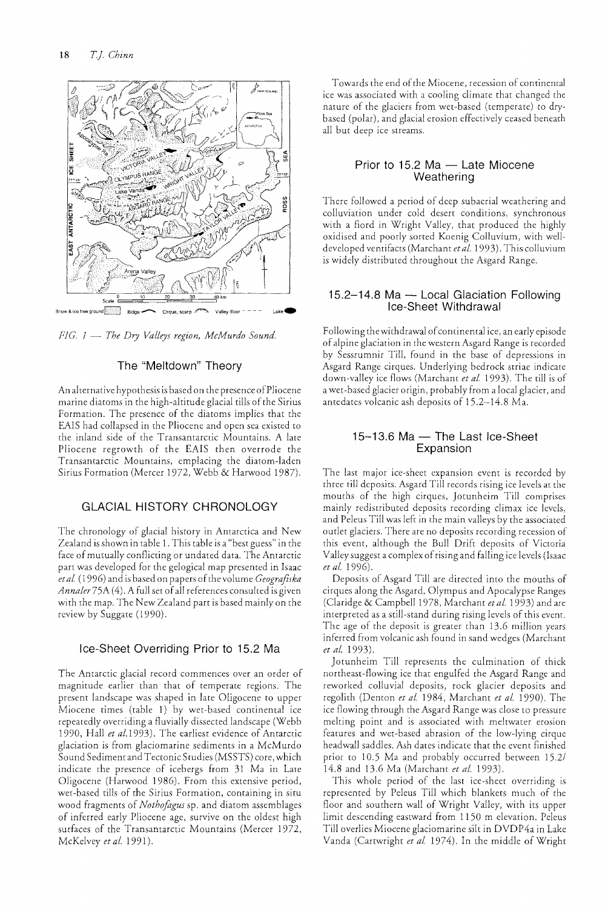

*FIC.* 1 --- *The Dry Valleys region, McMurdo Sound.* 

## The "Meltdown" Theory

An alternative hypothesis is based on the presence of Pliocene marine diatoms in the high-altitude glacial tills of the Sirius Formation. The presence of the diatoms implies that the EAIS had collapsed in the Pliocene and open sea existed to the inland side of the Transantarctic Mountains. A late Pliocene regrowth of the EAIS then overrode the Transantarctic Mountains, emplacing the diatom-laden Sirius Formation (Mercer 1972, Webb & Harwood 1987).

# GLACiAL HISTORY CHRONOLOGY

The chronology of glacial history in Antarctica and New Zealand is shown in table 1. This table is a "best guess" in the face of mutually conflicting or undated data. The Antarctic part was developed for the gelogical map presented in Isaac *eta!* (1996) and is based on papers of the volume *Ceografiska Annaler* 75A (4). A full set of all references consulted is given with the map. The New Zealand part is based mainly on the review by Suggate (1990).

### Ice-Sheet Overriding Prior to 15.2 Ma

The Antarctic glacial record commences over an order of magnitude earlier than that of temperate regions. The present landscape was shaped in late Oligocene to upper Miocene times (table 1) by wet-based continental icc repeatedly overriding a fluvially dissected landscape (Webb 1990, Hall *et al.1993).* The earliest evidence of Antarctic glaciation is from glaciomarine sediments in a McMurdo Sound Sediment and Tectonic Studies (MSSTS) core, which indicate the presence of icebergs from 31 Ma in Late Oligocene (Harwood 1986). From this extensive period, wet-based tills of the Sirius Formation, containing in situ wood fragments of *Nothofogus* sp. and diatom assemblages of inferred early Pliocene age, survive on the oldest high surfaces of the Transantarctic Mountains (Mercer 1972, McKelvey *et a!* 1991).

Towards the end of the Miocene, recession of continental ice was associated with a cooling climate that changed the nature of the glaciers from wet-based (temperate) to drybased (polar), and glacial erosion effectively ceased beneath all but deep ice streams.

#### Prior to  $15.2$  Ma  $-$  Late Miocene Weathering

There followed a period of deep subaerial weathering and colluviation under cold desert conditions, synchronous with a fiord in Wright Valley, that produced the highly oxidised and poorly sorted Koenig Colluvium, with *well*developed ventifacts (Marchant *etal.* 1993). This colluvium is widely distributed throughout the Asgard Range.

#### 15.2-14.8 Ma - Local Glaciation Following Ice-Sheet Withdrawal

Following the withdrawal of continental ice, an early episode of alpine glaciation in the western Asgard Range is recorded by Sessrumnir Till, found in the base of depressions in Asgard Range cirques. Underlying bedrock striae indicate down-valley ice flows (Marchant *et a!* 1993). The till is of a wet -based glacier origin, probably from a local glacier, and antedates volcanic ash deposits of 15.2-14.8 Ma.

#### 15-13.6 Ma - The Last Ice-Sheet Expansion

The last major ice-sheet expansion event is recorded by three till deposits. Asgard Till records rising ice levels at the mouths of the high cirques, Jotunheim Till comprises mainly redistributed deposits recording climax ice levels, and Peleus Till was left in the main valleys by the associated outlet glaciers. There are no deposits recording recession of this event, although the Bull Drift deposits of Victoria Valley suggest a complex of rising and falling icc levels (Isaac *etal. 1996).* 

Deposits of Asgard Till are directed into the mouths of cirques along the Asgard, Olympus and Apocalypse Ranges (Claridge & Campbell 1978, Marchant *et al.* 1993) and are interpreted as a still-stand during rising levels of this event. The age of the deposit is greater than 13.6 million years inferred from volcanic ash found in sand wedges (Marchant *et al. 1993).* 

Jotunheim Till represents the culmination of thick northeast-flowing ice that engulfed the Asgard Range and reworked colluvial deposits, rock glacier deposits and regolith (Denton *et al.* 1984, Marchant *et al.* 1990). The ice flowing through the Asgard Range was close to pressure melting point and is associated with meltwater erosion features and wet-based abrasion of the low-lying cirque headwall saddles. Ash dates indicate that the event finished prior to 10.5 Ma and probably occurred berween *15.21*  14.8 and 13.6 Ma (Marchant *et at. 1993).* 

This whole period of the last ice-sheet overriding is represented by Peleus Till which blankets much of the floor and southern wall of Wright Valley, with its upper limit descending eastward from 1150 m elevation. Peleus Till overlies Miocene glaciomarine silt in DVDP4a in Lake Vanda (Cartwright *et al.* 1974). In the middle of Wright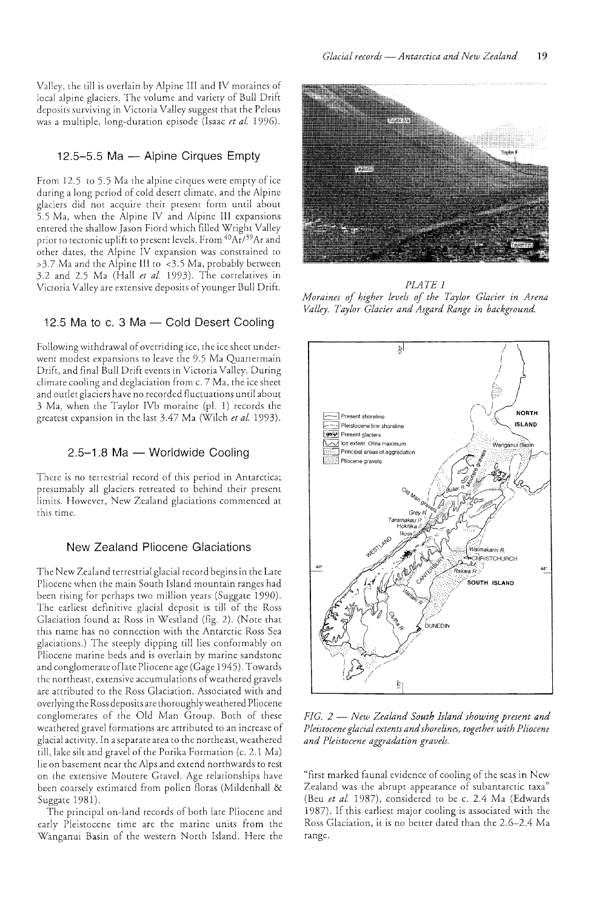Valley, the till is overlain by Alpine III and IV moraines of local alpine glaciers. The volume and variety of Bull Drift deposits surviving in Victoria Valley suggest that the Peleus was a multiple, long-duration episode (Isaac *et al. 1996).* 

#### 12.5-5.5 Ma - Alpine Cirques Empty

From 12.5 to 5.5 Ma the alpine cirques were empty of ice during a long period of cold desert climate, and the Alpine glaciers did not acquire their present form until about 5.5 Ma, when the Alpine IV and Alpine III expansions entered the shallow Jason Fiord which filled Wright Valley prior to tectonic uplift to present levels. From <sup>40</sup>Ar/<sup>39</sup>Ar and other dates, the Alpine IV expansion was constrained to >3.7 Ma and the Alpine III to <3.5 Ma, probably berween 3.2 and 2.5 Ma (Hall *et al.* 1993). The correlatives in Victoria Valley are extensive deposits of younger Bull Drift.

# 12.5 Ma to c. 3 Ma - Cold Desert Cooling

Following withdrawal of overriding ice, the ice sheet underwent modest expansions to leave the 9.5 Ma Quartermain Drift, and final Bull Drift events in Victoria Valley. During climate cooling and deglaciation from c. 7 Ma, the ice sheet and outlet glaciers have no recorded fluctuations until about 3 Ma, when the Taylor IVb moraine (pI. 1) records the greatest expansion in the last 3.47 Ma (Wilch *et al. 1993).* 

# $2.5-1.8$  Ma  $-$  Worldwide Cooling

There is no terrestrial record of this period in Antarctica; presumably all glaciers retreated to behind their present limits. However, New Zealand glaciations commenced at this time.

# New Zealand Pliocene Glaciations

The New Zealand terrestrial glacial record begins in the Late Pliocene when the main South Island mountain ranges had been rising for perhaps rwo million years (Suggate 1990). The earliest definitive glacial deposit is till of the Ross Glaciation found at Ross in Westland (fig. 2). (Note that this name has no connection with the Antarctic Ross Sea glaciations.) The steeply dipping till lies conformably on Pliocene marine beds and is overlain by marine sandstone and conglomerate oflate Pliocene age (Gage 1945). Towards the northeast, extensive accumulations of weathered gravels are attributed to the Ross Glaciation. Associated with and overlying the Ross deposits are thoroughlyweathered Pliocene conglomerates of the Old Man Group. Both of these weathered gravel formations are attributed to an increase of glacial activity. In a separate area to the northeast, weathered till, lake silt and gravel of the Porika Formation (c. 2.1 Ma) lie on basement near the Alps and extend northwards to rest on the extensive Moutere Gravel. Age relationships have been coarsely estimated from pollen floras (Mildenhall & Suggate 1981).

The principal on-land records of both late Pliocene and early Pleistocene time are the marine units from the Wanganui Basin of the western North Island. Here the



*PLATE 1 Moraines of higher levels of the Taylor Glacier in Arena Valley. Taylor Glacier and Asgard Range in background.* 



*FIG.* 2 - *New Zealand South Island showing present and Pleistocene glacial extents and shorelines, together with Pliocene and Pleistocene aggradation gravels.* 

"first marked faunal evidence of cooling of the seas in New Zealand was the abrupt appearance of subantarctic taxa" (Beu *et al.* 1987), considered to be c. 2.4 Ma (Edwards 1987). If this earliest major cooling is associated with the Ross Glaciation, it is no better dated than the 2.6-2.4 Ma range.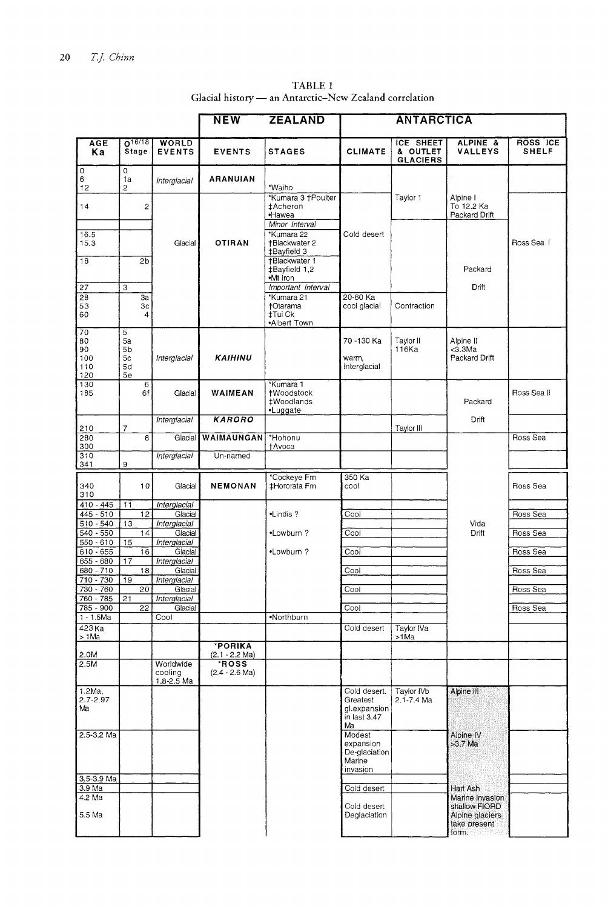|                              |                           |                                        | <b>NEW</b>                      | <b>ZEALAND</b><br><b>ANTARCTICA</b>                          |                                                                |                                                 |                                                                              |                          |
|------------------------------|---------------------------|----------------------------------------|---------------------------------|--------------------------------------------------------------|----------------------------------------------------------------|-------------------------------------------------|------------------------------------------------------------------------------|--------------------------|
| <b>AGE</b><br>Кa             | $0^{16/18}$<br>Stage      | WORLD<br><b>EVENTS</b>                 | <b>EVENTS</b>                   | <b>STAGES</b>                                                | <b>CLIMATE</b>                                                 | <b>ICE SHEET</b><br>& OUTLET<br><b>GLACIERS</b> | ALPINE &<br><b>VALLEYS</b>                                                   | ROSS ICE<br><b>SHELF</b> |
| 0<br>6<br>12                 | 0<br>1a<br>$\overline{2}$ | Interglacial                           | <b>ARANUIAN</b>                 | *Waiho                                                       |                                                                |                                                 |                                                                              |                          |
| 14                           | 2                         |                                        |                                 | *Kumara 3 †Poulter<br>‡Acheron<br>·Hawea                     |                                                                | Taylor 1                                        | Alpine I<br>To 12.2 Ka<br>Packard Drift                                      |                          |
| 16.5<br>15.3                 |                           | Glacial                                | <b>OTIRAN</b>                   | Minor Interval<br>*Kumara 22<br>+Blackwater 2<br>‡Bayfield 3 | Cold desert                                                    |                                                 |                                                                              | Ross Sea                 |
| 18                           | 2 <sub>b</sub>            |                                        |                                 | †Blackwater 1<br>±Bayfield 1,2<br>·Mt Iron                   |                                                                |                                                 | Packard                                                                      |                          |
| $\overline{27}$              | 3                         |                                        |                                 | Important Interval                                           |                                                                |                                                 | Drift                                                                        |                          |
| $\overline{28}$<br>53<br>60  | За<br>Зс<br>4             |                                        |                                 | *Kumara 21<br>†Otarama<br>‡Tui Ck<br>•Albert Town            | 20-60 Ka<br>cool glacial                                       | Contraction                                     |                                                                              |                          |
| 70<br>80<br>90<br>100<br>110 | 5<br>5a<br>5b<br>5c<br>5d | Interglacial                           | KAIHINU                         |                                                              | 70 -130 Ka<br>warm,<br>Interglacial                            | Taylor II<br>116Ka                              | Alpine II<br><3.3Ma<br>Packard Drift                                         |                          |
| 120<br>130<br>185            | 5e<br>6<br>6f             | Glacial                                | WAIMEAN                         | *Kumara 1<br><b>tWoodstock</b><br>#Woodlands<br>•Luggate     |                                                                |                                                 | Packard                                                                      | Ross Sea II              |
| 210                          | 7                         | Interglacial                           | <b>KARORO</b>                   |                                                              |                                                                | Taylor III                                      | Drift                                                                        |                          |
| 280<br>300                   | 8                         | Glacial                                | <b>WAIMAUNGAN</b>               | *Hohonu<br><b>†Avoca</b>                                     |                                                                |                                                 |                                                                              | Ross Sea                 |
| 310<br>341                   | 9                         | Interglacial                           | Un-named                        |                                                              |                                                                |                                                 |                                                                              |                          |
| 340<br>310                   | 10                        | Glacial                                | <b>NEMONAN</b>                  | *Cockeye Fm<br>‡Hororata Fm                                  | 350 Ka<br>cool                                                 |                                                 |                                                                              | Ross Sea                 |
| $410 - 445$                  | 11                        | Interglacial                           |                                 |                                                              |                                                                |                                                 |                                                                              |                          |
| 445 - 510<br>$510 - 540$     | $\overline{12}$           | Glacial<br>Interglacial                |                                 | •Lindis?                                                     | Cool                                                           |                                                 | Vida                                                                         | Ross Sea                 |
| $540 - 550$                  | 13<br>14                  | Glacial                                |                                 | •Lowburn?                                                    | Cool                                                           |                                                 | Drift                                                                        | Ross Sea                 |
| 550 - 610                    | 15                        | Interglacial                           |                                 |                                                              |                                                                |                                                 |                                                                              |                          |
| 610 - 655                    | 16                        | Glacial                                |                                 | •Lowburn?                                                    | Cool                                                           |                                                 |                                                                              | Ross Sea                 |
| $655 - 680$                  | 17                        | <b>Interglacial</b>                    |                                 |                                                              |                                                                |                                                 |                                                                              |                          |
| $680 - 710$                  | 18                        | Glacial                                |                                 |                                                              | Cool                                                           |                                                 |                                                                              | Ross Sea                 |
| $710 - 730$<br>$730 - 760$   | 19<br>$\overline{20}$     | Interglacial<br>Glacial                |                                 |                                                              | Cool                                                           |                                                 |                                                                              | Ross Sea                 |
| 760 - 785                    | 21                        | Interglacial                           |                                 |                                                              |                                                                |                                                 |                                                                              |                          |
| 785 - 900                    | 22                        | Glacial                                |                                 |                                                              | Cool                                                           |                                                 |                                                                              | Ross Sea                 |
| $1 - 1.5$ Ma                 |                           | Cool                                   |                                 | •Northburn                                                   |                                                                |                                                 |                                                                              |                          |
| $423$ Ka<br>> 1Ma            |                           |                                        |                                 |                                                              | Cold desert                                                    | Taylor IVa<br>>1Ma                              |                                                                              |                          |
| 2.0M                         |                           |                                        | *PORIKA<br>$(2.1 - 2.2$ Ma)     |                                                              |                                                                |                                                 |                                                                              |                          |
| 2.5M                         |                           | Worldwide<br>cooling<br>$1.8 - 2.5$ Ma | <b>ROSS</b><br>$(2.4 - 2.6$ Ma) |                                                              |                                                                |                                                 |                                                                              |                          |
| 1.2Ma,<br>$2.7 - 2.97$<br>Ma |                           |                                        |                                 |                                                              | Cold desert.<br>Greatest<br>gl.expansion<br>in last 3.47<br>Ma | Tavlor IVb<br>$2.1 - 7.4$ Ma                    | Alpine III                                                                   |                          |
| 2.5-3.2 Ma                   |                           |                                        |                                 |                                                              | Modest<br>expansion<br>De-glaciation<br>Marine<br>invasion     |                                                 | Alpine IV<br>>3.7 Ma                                                         |                          |
| 3.5-3.9 Ma                   |                           |                                        |                                 |                                                              |                                                                |                                                 |                                                                              |                          |
| 3.9 Ma                       |                           |                                        |                                 |                                                              | Cold desert                                                    |                                                 | Hart Ash                                                                     |                          |
| 4.2 Ma<br>5.5 Ma             |                           |                                        |                                 |                                                              | Cold desert<br>Deglaciation                                    |                                                 | Marine invasion<br>shallow FIORD<br>Alpine glaciers<br>take present<br>form. |                          |

TABLE 1 Glacial history — an Antarctic–New Zealand correlation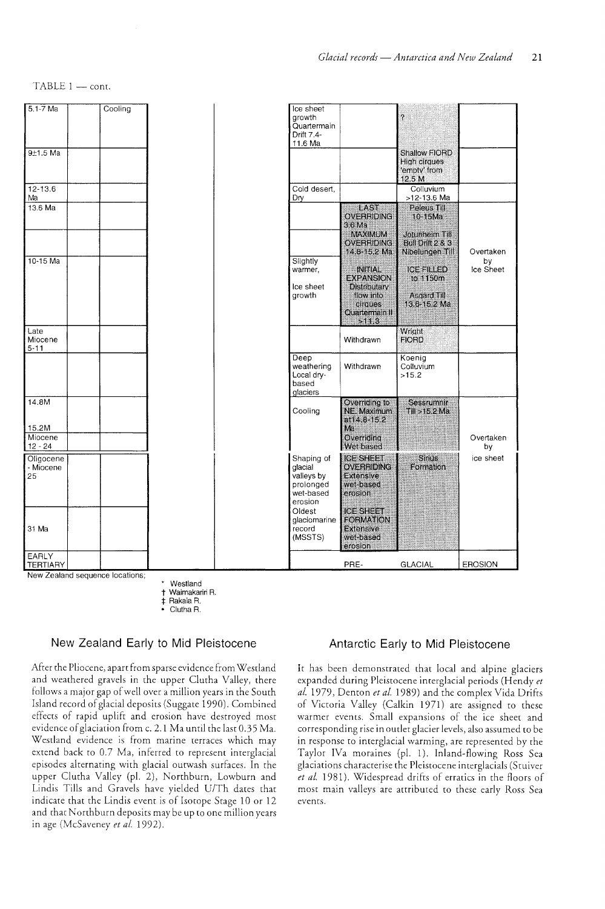

Westland

† Waimakariri R.<br>‡ Rakaia R. Rakaia R.

• Clutha R.

#### New Zealand Early to Mid Pleistocene

After the Pliocene, apart from sparse evidence from Westland and weathered gravels in the upper Clutha Valley, there follows a major gap of well over a million years in the South Island record of glacial deposits (Suggate 1990). Combined effects of rapid uplift and erosion have destroyed most evidence of glaciation from c. 2.1 Ma until the last 0.35 Ma. Westland evidence is from marine terraces which may extend back to 0.7 Ma, inferred to represent interglacial episodes alternating with glacial outwash surfaces. In the upper Clutha Valley (pi. 2), Northburn, Lowburn and Lindis Tills and Gravels have yielded U/Th dates that indicate that the Lindis event is of Isotope Stage 10 or 12 and that Northburn deposits may be up to one million years in age (McSaveney *et at.* 1992).

## Antarctic Early to Mid Pleistocene

It has been demonstrated that local and alpine glaciers expanded during Pleistocene interglacial periods (Hendy *et al.* 1979, Denton *et al.* 1989) and the complex Vida Drifts of Victoria Valley (Calkin 1971) are assigned to these warmer events. Small expansions of the ice sheet and corresponding rise in outlet glacier levels, also assumed to be in response to interglacial warming, are represented by the Taylor IVa moraines (pI. 1). Inland-flowing Ross Sea glaciations characterise the Pleistocene interglacials (Stuiver *et al.* 1981). Widespread drifts of erratics in the floors of most main valleys are attributed to these early Ross Sea events.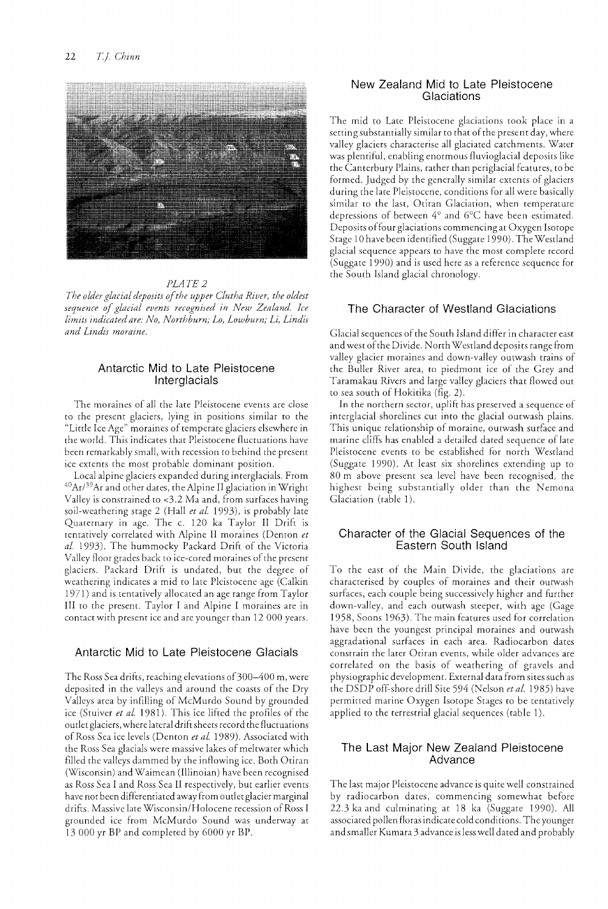

#### PLATE 2

*The older glacial deposits of the upper Clutha River, the oldest sequence of glacial events recognised in New Zealand. Ice limits indicated are: No, Northburn; Lo, Lowburn; Li, Lindis and Lindis moraine.* 

#### Antarctic Mid to Late Pleistocene Interglacials

The moraines of all the late Pleistocene events are close to the present glaciers, lying in positions similar to the "Litde Ice Age" moraines of temperate glaciers elsewhere in the world. This indicates that Pleistocene fluctuations have been remarkably small, with recession to behind the present ice extents the most probable dominant position.

Local alpine glaciers expanded during interglacials. From  ${}^{40}\mathrm{Ar}$ /39 Ar and other dates, the Alpine II glaciation in Wright Valley is constrained to <3.2 Ma and, from surfaces having soil-weathering stage 2 (Hall *et al.* 1993), is probably late Quaternary in age. The c. 120 ka Taylor II Drift is tentatively correlated with Alpine II moraines (Denton *et al.* 1993). The hummocky Packard Drift of the Victoria Valley floor grades back to ice-cored moraines of the present glaciers. Packard Drift is undated, but the degree of weathering indicates a mid to late Pleistocene age (Calkin 1971) and is tentatively allocated an age range from Taylor III to the present. Taylor I and Alpine I moraines are in contact with present ice and are younger than 12 000 years.

#### Antarctic Mid to Late Pleistocene Glacials

The Ross Sea drifts, reaching elevations of  $300-400$  m, were deposited in the valleys and around the coasts of the Dry Valleys area by infilling of McMurdo Sound by grounded ice (Stuiver *et ai.* 1981). This ice lifted the profiles of the outlet glaciers, where lateral drift sheets record the fluctuations of Ross Sea ice levels (Denton *et al.* 1989). Associated with the Ross Sea glacials were massive lakes of meltwater which filled the valleys dammed by the inflowing ice. Both Otiran (Wisconsin) and Waimean (Illinoian) have been recognised as Ross Sea I and Ross Sea II respectively, but earlier events have not been differentiated away from outlet glacier marginal drifts. Massive late Wisconsin/Holocene recession of Ross I grounded ice from McMurdo Sound was underway at 13000 yr BP and completed by 6000 yr BP.

### New Zealand Mid to Late Pleistocene **Glaciations**

The mid to Late Pleistocene glaciations took place in a setting substantially similar to that of the present day, where valley glaciers characterise all glaciated catchments. Water was plentiful, enabling enormous fluvioglacial deposits like the Canterbury Plains, rather than periglacial features, to be formed. Judged by the generally similar extents of glaciers during the late Pleistocene, conditions for all were basically similar to the last, Otiran Glaciation, when temperature depressions of between 4° and 6°C have been estimated. Deposits offour glaciations commencing at Oxygen Isotope Stage 10 have been identified (Suggate 1990). The Westland glacial sequence appears to have the most complete record (Suggate 1990) and is used here as a reference sequence for the South Island glacial chronology.

## The Character of Westland Glaciations

Glacial sequences of the South Island differ in character east and west of the Divide. North Westland deposits range from valley glacier moraines and down-valley outwash trains of the Buller River area, to piedmont ice of the Grey and Taramakau Rivers and large valley glaciers that flowed out to sea south of Hokitika (fig. 2).

In the northern sector, uplift has preserved a sequence of interglacial shorelines cut into the glacial outwash plains. This unique relationship of moraine, outwash surface and marine cliffs has enabled a detailed dated sequence of late Pleistocene events to be established for north Westland (Suggate 1990). At least six shorelines extending up to 80 m above present sea level have been recognised, the highest being substantially older than the Nemona Glaciation (table 1).

## Character of the Glacial Sequences of the Eastern South Island

To the east of the Main Divide, the glaciations are characterised by couples of moraines and their outwash surfaces, each couple being successively higher and further down-valley, and each outwash steeper, with age (Gage 1958, Soons 1963). The main features used for correlation have been the youngest principal moraines and outwash aggradational surfaces in each area. Radiocarbon dates constrain the later Otiran events, while older advances are correlated on the basis of weathering of gravels and physiographic development. External data from sites such as the DSDP off-shore drill Site 594 (Nelson *etal.* 1985) have permitted marine Oxygen Isotope Stages to be tentatively applied to the terrestrial glacial sequences (table 1).

## The Last Major New Zealand Pleistocene Advance

The last major Pleistocene advance is quite well constrained by radiocarbon dates, commencing somewhat before 22.3 ka and culminating at 18 ka (Suggate 1990). All associated pollen floras indicate cold conditions. The younger and smaller Kumara 3 advance is less well dated and probably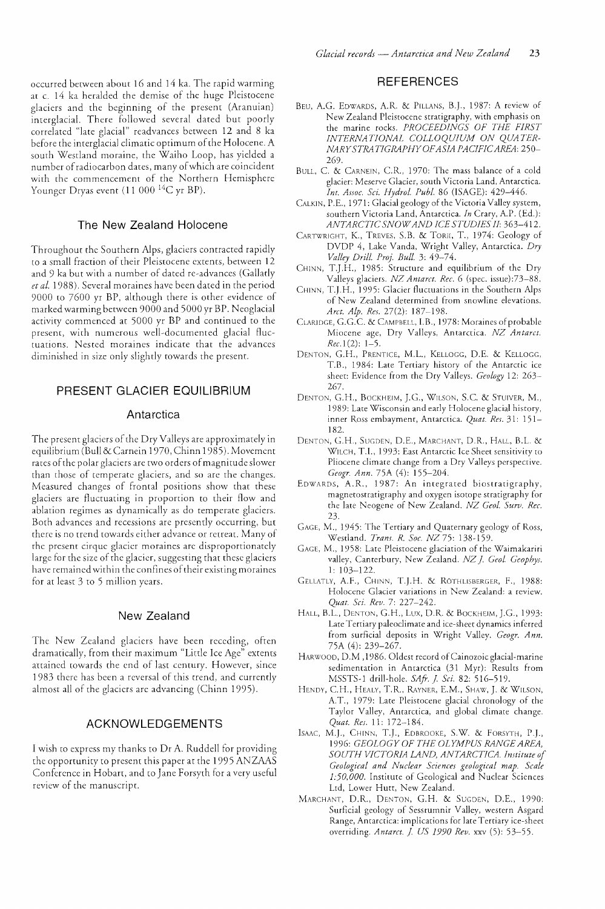occurred between about 16 and 14 ka. The rapid warming at c. 14 ka heralded the demise of the huge Pleistocene glaciers and the beginning of the present (Aranuian) interglacial. There followed several dated but poorly correlated "late glacial" readvances between 12 and 8 ka before the interglacial climatic optimum of the Holocene. A south Westland moraine, the Waiho Loop, has yidded a number of radiocarbon dates, many of which are coincident with the commencement of the Northern Hemisphere Younger Dryas event (11 000 <sup>14</sup>C yr BP).

#### The New Zealand Holocene

Throughout the Southern Alps, glaciers contracted rapidly to a small fraction of their Pleistocene extents, between 12 and 9 ka but with a number of dated re-advances (Gallatly et al. 1988). Several moraines have been dated in the period 9000 to 7600 yr BP, although there is other evidence of marked warming between 9000 and 5000 yr BP. Neoglacial activity commenced at 5000 yr BP and continued to the present, with numerous well-documented glacial fluctuations. Nested moraines indicate that the advances diminished in size only slightly towards the present.

# PRESENT GLACIER EQUILIBRIUM

#### Antarctica

The present glaciers of the Dry Valleys are approximately in equilibrium (Bull &Carnein 1970, Chinn 1985). Movement rates of the polar glaciers are two orders of magnitude slower than those of temperate glaciers, and so are the changes. Measured changes of frontal positions show that these glaciers are fluctuating in proportion to their flow and ablation regimes as dynamically as do temperate glaciers. Both advances and recessions are presently occurring, but there is no trend towards either advance or retreat. Many of the present cirque glacier moraines arc disproportionately large for the size of the glacier, suggesting that these glaciers have remained within the confines of their existing moraines for at least 3 ro 5 million years.

#### New Zealand

The New Zealand glaciers have been receding, often dramatically, from their maximum "Little Ice Age" extents attained towards the end of last century. However, since 1983 tbere has been a reversal of this trend, and currently almost all of the glaciers are advancing (Chinn 1995).

## ACKNOWLEDGEMENTS

I wish to express my thanks to Dr A. Ruddell for providing the opportunity to present this paper at the 1995 ANZAAS Conference in Hobart, and to Jane Forsyth for a very useful review of the manuscript.

#### **REFERENCES**

- BEU, A.G. EDWARDS, A.R. & PILLANS, B.]., 1987: A review of New Zealand Pleistocene stratigraphy, with emphasis on the marine rocks. *PROCEEDINGS OF THE FIRST INTERNATIONAL COLLOQUIUM ON QUATER NARYSTRATIGRAPHYOFAS!A PACfFICAREA: 250-* 269.
- BULL, C. & CARNEIN, C.R., 1970: The mass balance of a cold glacier: Meserve Glacier, south Victoria Land, Antarctica. *Int. Assoc. Sci. Hydro!' Pub!.* 86 (ISAGE): 429-446.
- CALKIN, P.E., 1971: Glacial geology of the Victoria Valley system, southern Victoria Land, Antarctica. *In* Crary, A.P. (Ed.): *ANTARCTIC SNOW AND ICE STUD!ES If: 363-412.*
- CARTWRIGHT, K., TREVES, S.B. & TORII, T., 1974: Geology of DVDP 4, Lake Vanda, Wright Valley, Antarctica. *Dry VaLLey DriLL. Proj. Bull.* 3: 49--74.
- CHINN, T.].H., 1985: Structure and equilibrium of the Dry Valleys glaciers. *N7. Antarct. Rec.* 6 (spec. issue):73-88.
- CHINN, T.J.H., 1995: Glacier fluctuations in the Southern Alps of New Zealand determined from snowline elevations. *Arct. Alp. Res.* 27(2): 187-198.
- CLARIDGE, G.G.C & CAMPBELL, LB., 1978: Moraines of probable Miocene age, Dry Valleys, Antarctica. *NZ Antarct.*   $Rec.1(2): 1-5.$
- DENTON, G.H., PRENTICE, M.L., KELLOGG, D.E. & KELLOGG, T.B., 1984: Late Tertiary history of the Antarctic ice sheet: Evidence from the Dry Valleys. *Geology* 12: 263- 267.
- DENTON, G.H., BOCKHEIM, J.G., WILSON, S.C. & STUIVER, M., 1989: Late Wisconsin and early Holocene glacial history, inner Ross embayment, Antarctica. *Quat. Res.* 31: 151- 182.
- DENTON, C.H., SUGDEN, D.E., MARCHANT, D.R., HALL, B.L. & WILCH, T.I., 1993: East Antarctic Ice Sheet sensitivity to Pliocene climate change from a Dry Valleys perspective. *Geogr. Ann.* 75A (4): 155-204.
- EDWARDS, A.R., 1987: An integrated biostratigraphy, magnetostratigraphy and oxygen isotope stratigraphy for the late Neogene of New Zealand. *NZ Geo!. Surv. Rec.*  23.
- GACE, M., 1945: The Tertiary and Quaternary geology of Ross, Westland. *Trans. R. Soc. NZ* 75: 138-159.
- GAGE, M., 1958: Late Pleistocene glaciation of the Waimakariri valley, Canterbury, New Zealand. *NZ* j. *Geo!. Geophys.*  I: 103-122.
- GELLATLY, A.F., CHINN, T.J,H. & ROTHLISBERGER, F., 1988: Holocene Glacier variations in New Zealand: a review. *Quat. Sci. Rev.* 7: 227-242.
- HALL, B.L., DENTON, G.H., Lux, D.R. & BOCKHEIM, J,G., 1993: Late Tertiary paleoclimate and ice-sheet dynamics inferred from surficial deposits in Wright Valley. *Geogr. Ann.*  75A (4): 239-267.
- HARWOOD, D.M ,1986. Oldest record of Cainozoic glacial-marine sedimentation in Antarctica (31 Myr): Results from MSSTS-1 drill-hole. *SAfr.* j. *Sci.* 82: 516-519.
- HENDY, CH., HEALY, T.R., RAYNER, E.M., SHAW, J, & WIl.SON, A.T., 1979: Late Pleistocene glacial chronology of the Taylor Valley, Antarctica, and global climate change. *Quat. Res.* II: 172-184.
- ISAAC, M.J., CHINN, T.]., EDBROOKE, S.W. & FORSYTH, P.J., 1996: GEOLOGY OF THE OLYMPUS RANGE AREA, *SOUTH VICTORIA LAND, ANTARCTICA. Institute of Geological and Nuclear Sciences geological map. Scale 1:50,000.* Institute of Geological and Nuclear Sciences Ltd, Lower Hutt, New Zealand.
- MARCHANT, D.R., DENTON, G.H. & SUGDEN, D.E., 1990: Surficial geology of Sessrumnir Valley, western Asgard Range, Antarctica: implications for late Tertiary ice-sheet overriding. *A nta rct.* j. *US 1990 Rev.* xxv (5): 53-55.